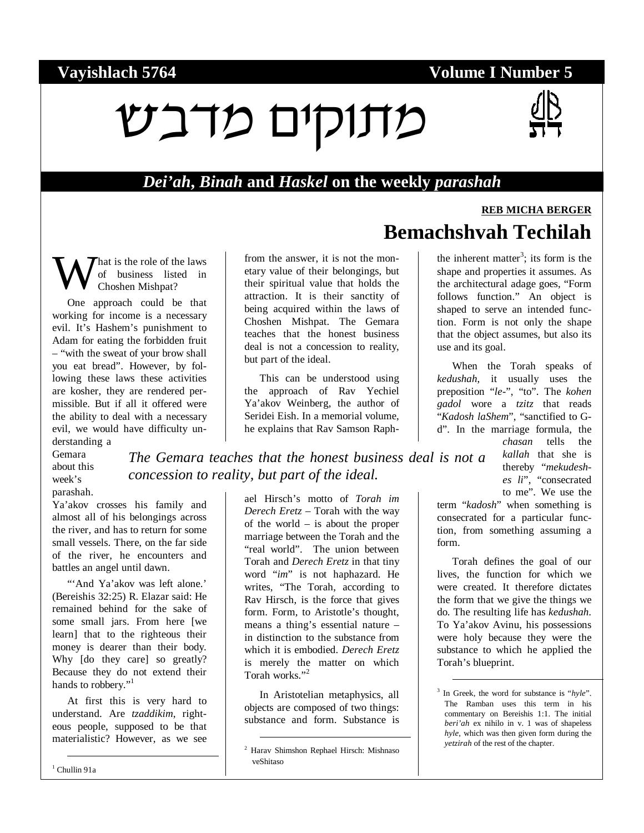#### **Vayishlach 5764 Volume I Number 5**

# $V$ נוקים מדבש



**REB MICHA BERGER**

#### *Dei'ah***,** *Binah* **and** *Haskel* **on the weekly** *parashah*

**Bemachshvah Techilah** 

hat is the role of the laws of business listed in Choshen Mishpat? W

One approach could be that working for income is a necessary evil. It's Hashem's punishment to Adam for eating the forbidden fruit – "with the sweat of your brow shall you eat bread". However, by following these laws these activities are kosher, they are rendered permissible. But if all it offered were the ability to deal with a necessary evil, we would have difficulty understanding a

Gemara about this week's parashah.

Ya'akov crosses his family and almost all of his belongings across the river, and has to return for some small vessels. There, on the far side of the river, he encounters and battles an angel until dawn.

"'And Ya'akov was left alone.' (Bereishis 32:25) R. Elazar said: He remained behind for the sake of some small jars. From here [we learn] that to the righteous their money is dearer than their body. Why [do they care] so greatly? Because they do not extend their hands to robbery."<sup>1</sup>

At first this is very hard to understand. Are *tzaddikim*, righteous people, supposed to be that materialistic? However, as we see

from the answer, it is not the monetary value of their belongings, but their spiritual value that holds the attraction. It is their sanctity of being acquired within the laws of Choshen Mishpat. The Gemara teaches that the honest business deal is not a concession to reality, but part of the ideal.

This can be understood using the approach of Rav Yechiel Ya'akov Weinberg, the author of Seridei Eish. In a memorial volume, he explains that Rav Samson Raph-

*The Gemara teaches that the honest business deal is not a concession to reality, but part of the ideal.* 

> ael Hirsch's motto of *Torah im Derech Eretz* – Torah with the way of the world – is about the proper marriage between the Torah and the "real world". The union between Torah and *Derech Eretz* in that tiny word "*im*" is not haphazard. He writes, "The Torah, according to Rav Hirsch, is the force that gives form. Form, to Aristotle's thought, means a thing's essential nature – in distinction to the substance from which it is embodied. *Derech Eretz* is merely the matter on which Torah works."<sup>2</sup>

In Aristotelian metaphysics, all objects are composed of two things: substance and form. Substance is

the inherent matter<sup>3</sup>; its form is the shape and properties it assumes. As the architectural adage goes, "Form follows function." An object is shaped to serve an intended function. Form is not only the shape that the object assumes, but also its use and its goal.

When the Torah speaks of *kedushah*, it usually uses the preposition "*le-*", "to". The *kohen gadol* wore a *tzitz* that reads "*Kadosh laShem*", "sanctified to Gd". In the marriage formula, the

> *chasan* tells the *kallah* that she is thereby "*mekudeshes li*", "consecrated to me". We use the

term "*kadosh*" when something is consecrated for a particular function, from something assuming a form.

Torah defines the goal of our lives, the function for which we were created. It therefore dictates the form that we give the things we do. The resulting life has *kedushah*. To Ya'akov Avinu, his possessions were holy because they were the substance to which he applied the Torah's blueprint.

 <sup>2</sup> Harav Shimshon Rephael Hirsch: Mishnaso veShitaso

<sup>&</sup>lt;sup>3</sup> In Greek, the word for substance is "*hyle*". The Ramban uses this term in his commentary on Bereishis 1:1. The initial *beri'ah* ex nihilo in v. 1 was of shapeless *hyle*, which was then given form during the *yetzirah* of the rest of the chapter.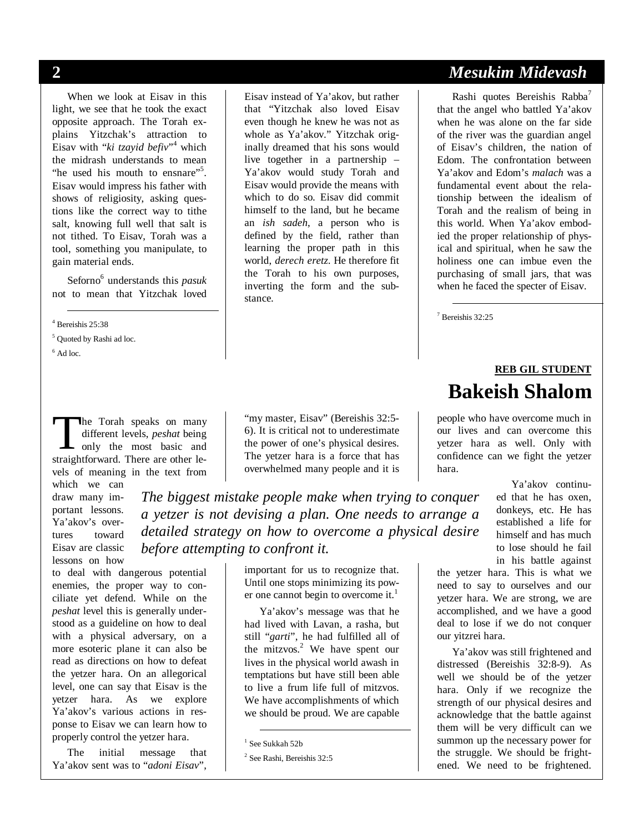When we look at Eisav in this light, we see that he took the exact opposite approach. The Torah explains Yitzchak's attraction to Eisav with "*ki tzayid befiv*" which the midrash understands to mean "he used his mouth to ensnare"<sup>5</sup>. Eisav would impress his father with shows of religiosity, asking questions like the correct way to tithe salt, knowing full well that salt is not tithed. To Eisav, Torah was a tool, something you manipulate, to gain material ends.

Seforno<sup>6</sup> understands this *pasuk* not to mean that Yitzchak loved

4 Bereishis 25:38

<sup>5</sup> Quoted by Rashi ad loc.

 $<sup>6</sup>$  Ad loc.</sup>

he Torah speaks on many different levels, *peshat* being I only the most basic and The Torah speaks on many<br>different levels, *peshat* being<br>only the most basic and<br>straightforward. There are other levels of meaning in the text from

which we can draw many important lessons. Ya'akov's overtures toward Eisav are classic lessons on how

to deal with dangerous potential enemies, the proper way to conciliate yet defend. While on the *peshat* level this is generally understood as a guideline on how to deal with a physical adversary, on a more esoteric plane it can also be read as directions on how to defeat the yetzer hara. On an allegorical level, one can say that Eisav is the yetzer hara. As we explore Ya'akov's various actions in response to Eisav we can learn how to properly control the yetzer hara.

The initial message that Ya'akov sent was to "*adoni Eisav*",

Eisav instead of Ya'akov, but rather that "Yitzchak also loved Eisav even though he knew he was not as whole as Ya'akov." Yitzchak originally dreamed that his sons would live together in a partnership – Ya'akov would study Torah and Eisav would provide the means with which to do so. Eisav did commit himself to the land, but he became an *ish sadeh*, a person who is defined by the field, rather than learning the proper path in this world, *derech eretz*. He therefore fit the Torah to his own purposes, inverting the form and the substance.

"my master, Eisav" (Bereishis 32:5-6). It is critical not to underestimate the power of one's physical desires. The yetzer hara is a force that has overwhelmed many people and it is

*The biggest mistake people make when trying to conquer a yetzer is not devising a plan. One needs to arrange a detailed strategy on how to overcome a physical desire before attempting to confront it.* 

> important for us to recognize that. Until one stops minimizing its power one cannot begin to overcome it. $<sup>1</sup>$ </sup>

> Ya'akov's message was that he had lived with Lavan, a rasha, but still "*garti*", he had fulfilled all of the mitzvos. $2$  We have spent our lives in the physical world awash in temptations but have still been able to live a frum life full of mitzvos. We have accomplishments of which we should be proud. We are capable

## **2** *Mesukim Midevash*

Rashi quotes Bereishis Rabba<sup>7</sup> that the angel who battled Ya'akov when he was alone on the far side of the river was the guardian angel of Eisav's children, the nation of Edom. The confrontation between Ya'akov and Edom's *malach* was a fundamental event about the relationship between the idealism of Torah and the realism of being in this world. When Ya'akov embodied the proper relationship of physical and spiritual, when he saw the holiness one can imbue even the purchasing of small jars, that was when he faced the specter of Eisav.

7 Bereishis 32:25

#### **REB GIL STUDENT Bakeish Shalom**

people who have overcome much in our lives and can overcome this yetzer hara as well. Only with confidence can we fight the yetzer hara.

> Ya'akov continued that he has oxen, donkeys, etc. He has established a life for himself and has much to lose should he fail in his battle against

the yetzer hara. This is what we need to say to ourselves and our yetzer hara. We are strong, we are accomplished, and we have a good deal to lose if we do not conquer our yitzrei hara.

Ya'akov was still frightened and distressed (Bereishis 32:8-9). As well we should be of the yetzer hara. Only if we recognize the strength of our physical desires and acknowledge that the battle against them will be very difficult can we summon up the necessary power for the struggle. We should be frightened. We need to be frightened.

 <sup>1</sup> See Sukkah 52b

<sup>2</sup> See Rashi, Bereishis 32:5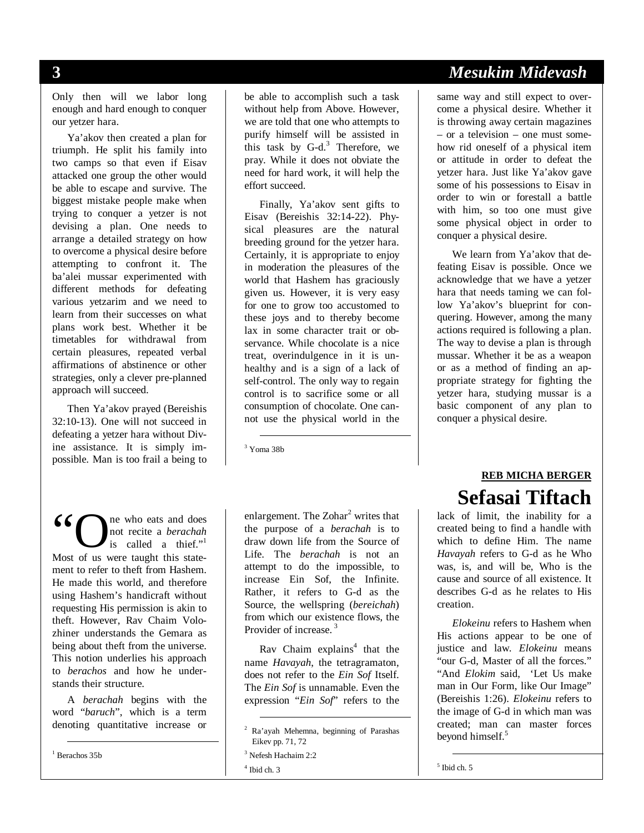Only then will we labor long enough and hard enough to conquer our yetzer hara.

Ya'akov then created a plan for triumph. He split his family into two camps so that even if Eisav attacked one group the other would be able to escape and survive. The biggest mistake people make when trying to conquer a yetzer is not devising a plan. One needs to arrange a detailed strategy on how to overcome a physical desire before attempting to confront it. The ba'alei mussar experimented with different methods for defeating various yetzarim and we need to learn from their successes on what plans work best. Whether it be timetables for withdrawal from certain pleasures, repeated verbal affirmations of abstinence or other strategies, only a clever pre-planned approach will succeed.

Then Ya'akov prayed (Bereishis 32:10-13). One will not succeed in defeating a yetzer hara without Divine assistance. It is simply impossible. Man is too frail a being to be able to accomplish such a task without help from Above. However, we are told that one who attempts to purify himself will be assisted in this task by  $G-d^3$ . Therefore, we pray. While it does not obviate the need for hard work, it will help the effort succeed.

Finally, Ya'akov sent gifts to Eisav (Bereishis 32:14-22). Physical pleasures are the natural breeding ground for the yetzer hara. Certainly, it is appropriate to enjoy in moderation the pleasures of the world that Hashem has graciously given us. However, it is very easy for one to grow too accustomed to these joys and to thereby become lax in some character trait or observance. While chocolate is a nice treat, overindulgence in it is unhealthy and is a sign of a lack of self-control. The only way to regain control is to sacrifice some or all consumption of chocolate. One cannot use the physical world in the

3 Yoma 38b

ne who eats and does not recite a *berachah* is called a thief."<sup>1</sup> 66 C ne who eats and does<br>
not recite a *berachah*<br>
Most of us were taught this statement to refer to theft from Hashem. He made this world, and therefore using Hashem's handicraft without requesting His permission is akin to theft. However, Rav Chaim Volozhiner understands the Gemara as being about theft from the universe. This notion underlies his approach to *berachos* and how he understands their structure.

A *berachah* begins with the word "*baruch*", which is a term denoting quantitative increase or

1 Berachos 35b

enlargement. The Zohar<sup>2</sup> writes that the purpose of a *berachah* is to draw down life from the Source of Life. The *berachah* is not an attempt to do the impossible, to increase Ein Sof, the Infinite. Rather, it refers to G-d as the Source, the wellspring (*bereichah*) from which our existence flows, the Provider of increase.<sup>3</sup>

Rav Chaim explains<sup>4</sup> that the name *Havayah*, the tetragramaton, does not refer to the *Ein Sof* Itself. The *Ein Sof* is unnamable. Even the expression "*Ein Sof*" refers to the

## **3** *Mesukim Midevash*

same way and still expect to overcome a physical desire. Whether it is throwing away certain magazines – or a television – one must somehow rid oneself of a physical item or attitude in order to defeat the yetzer hara. Just like Ya'akov gave some of his possessions to Eisav in order to win or forestall a battle with him, so too one must give some physical object in order to conquer a physical desire.

We learn from Ya'akov that defeating Eisav is possible. Once we acknowledge that we have a yetzer hara that needs taming we can follow Ya'akov's blueprint for conquering. However, among the many actions required is following a plan. The way to devise a plan is through mussar. Whether it be as a weapon or as a method of finding an appropriate strategy for fighting the yetzer hara, studying mussar is a basic component of any plan to conquer a physical desire.

### **REB MICHA BERGER Sefasai Tiftach**

lack of limit, the inability for a created being to find a handle with which to define Him. The name *Havayah* refers to G-d as he Who was, is, and will be, Who is the cause and source of all existence. It describes G-d as he relates to His creation.

*Elokeinu* refers to Hashem when His actions appear to be one of justice and law*. Elokeinu* means "our G-d, Master of all the forces." "And *Elokim* said, 'Let Us make man in Our Form, like Our Image" (Bereishis 1:26). *Elokeinu* refers to the image of G-d in which man was created; man can master forces beyond himself.<sup>5</sup>

 <sup>2</sup> Ra'ayah Mehemna, beginning of Parashas Eikev pp. 71, 72

<sup>3</sup> Nefesh Hachaim 2:2